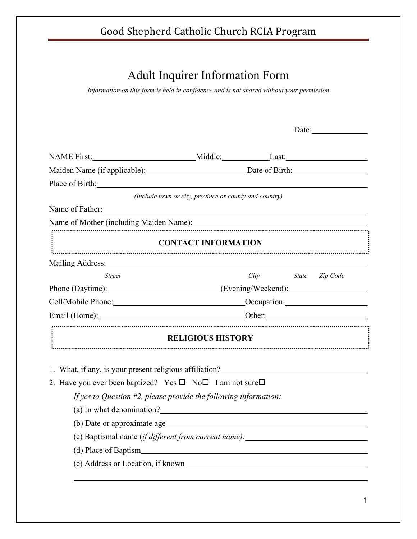## Adult Inquirer Information Form

*Information on this form is held in confidence and is not shared without your permission* 

NAME First: Middle: Last: Maiden Name (if applicable): Date of Birth: Place of Birth: *(Include town or city, province or county and country)*  Name of Father: Name of Mother (including Maiden Name):<br>
France Contract Contract Contract Contract Contract Contract Contract Contract Contract Contract Contract Contract Contract Contract Contract Contract Contract Contract Contract Con **CONTACT INFORMATION**  Mailing Address:  *Street City State Zip Code*  Phone (Daytime): (Evening/Weekend): Cell/Mobile Phone: Occupation: Occupation: Email (Home): Other: Other: Other: Other: Other: Communication: Other: Communication: Other: Communication: Communication: Communication: Communication: Communication: Communication: Communication: Communication: Communica **RELIGIOUS HISTORY** 1. What, if any, is your present religious affiliation? 2. Have you ever been baptized? Yes  $\square$  No  $\square$  I am not sure  $\square$ *If yes to Question #2, please provide the following information:* (a) In what denomination? (b) Date or approximate age (c) Baptismal name (*if different from current name):* (d) Place of Baptism (e) Address or Location, if known  $\overline{a}$ 

Date: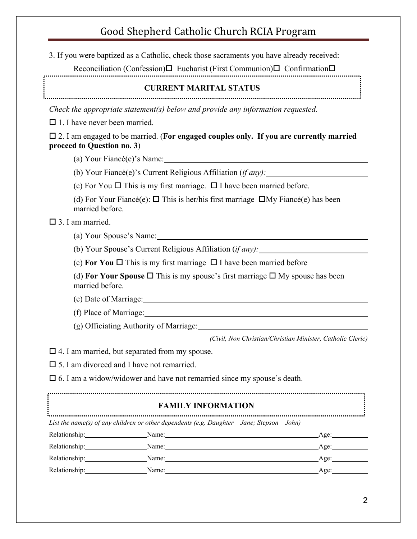3. If you were baptized as a Catholic, check those sacraments you have already received:

Reconciliation (Confession) $\Box$  Eucharist (First Communion) $\Box$  Confirmation $\Box$ 

#### **CURRENT MARITAL STATUS**

*Check the appropriate statement(s) below and provide any information requested.* 

 $\Box$  1. I have never been married.

#### 2. I am engaged to be married. (**For engaged couples only. If you are currently married proceed to Question no. 3**)

(a) Your Fiancė(e)'s Name:

(b) Your Fiancė(e)'s Current Religious Affiliation (*if any):*

(c) For You  $\Box$  This is my first marriage.  $\Box$  I have been married before.

(d) For Your Fiancė(e):  $\Box$  This is her/his first marriage  $\Box$ My Fiancė(e) has been married before.

□ 3. I am married.

(a) Your Spouse's Name:

(b) Your Spouse's Current Religious Affiliation (*if any):*

(c) **For You**  $\Box$  This is my first marriage  $\Box$  I have been married before

(d) **For Your Spouse**  $\Box$  This is my spouse's first marriage  $\Box$  My spouse has been married before.

(e) Date of Marriage:

(f) Place of Marriage:

(g) Officiating Authority of Marriage:

*(Civil, Non Christian/Christian Minister, Catholic Cleric)*

 $\Box$  4. I am married, but separated from my spouse.

□ 5. I am divorced and I have not remarried.

 $\square$  6. I am a widow/widower and have not remarried since my spouse's death.

**FAMILY INFORMATION** *List the name(s) of any children or other dependents (e.g. Daughter – Jane; Stepson – John)*  Relationship: Name: Age: Relationship: Name: Age: Relationship: Name: Name: Name: Age: Age: Relationship: Name: Age: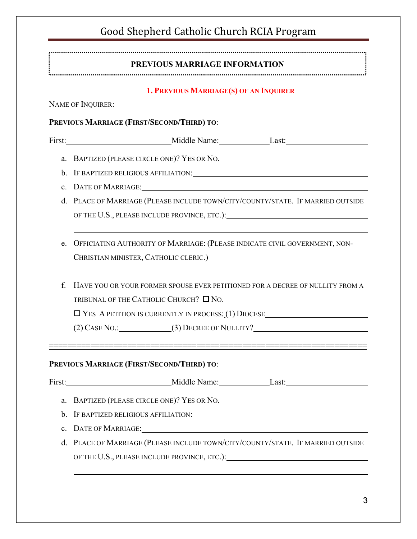| PREVIOUS MARRIAGE INFORMATION                                                                                                                                                                                                                                                   |                                                                                                                                 |  |  |  |  |  |
|---------------------------------------------------------------------------------------------------------------------------------------------------------------------------------------------------------------------------------------------------------------------------------|---------------------------------------------------------------------------------------------------------------------------------|--|--|--|--|--|
|                                                                                                                                                                                                                                                                                 |                                                                                                                                 |  |  |  |  |  |
| <b>1. PREVIOUS MARRIAGE(S) OF AN INQUIRER</b><br>NAME OF INQUIRER: University of the UNIVERSITY OF STATE OF THE SET OF THE SET OF THE SET OF THE SET OF THE SET OF THE SET OF THE SET OF THE SET OF THE SET OF THE SET OF THE SET OF THE SET OF THE SET OF THE SET OF THE SET O |                                                                                                                                 |  |  |  |  |  |
|                                                                                                                                                                                                                                                                                 |                                                                                                                                 |  |  |  |  |  |
|                                                                                                                                                                                                                                                                                 | First: Middle Name: Last: Last:                                                                                                 |  |  |  |  |  |
|                                                                                                                                                                                                                                                                                 | a. BAPTIZED (PLEASE CIRCLE ONE)? YES OR NO.                                                                                     |  |  |  |  |  |
| b.                                                                                                                                                                                                                                                                              | IF BAPTIZED RELIGIOUS AFFILIATION: University of the contract of the set of the set of the set of the set of t                  |  |  |  |  |  |
| $\mathbf{c}$ .                                                                                                                                                                                                                                                                  |                                                                                                                                 |  |  |  |  |  |
|                                                                                                                                                                                                                                                                                 | d. PLACE OF MARRIAGE (PLEASE INCLUDE TOWN/CITY/COUNTY/STATE. IF MARRIED OUTSIDE                                                 |  |  |  |  |  |
|                                                                                                                                                                                                                                                                                 |                                                                                                                                 |  |  |  |  |  |
| OFFICIATING AUTHORITY OF MARRIAGE: (PLEASE INDICATE CIVIL GOVERNMENT, NON-<br>e.                                                                                                                                                                                                |                                                                                                                                 |  |  |  |  |  |
|                                                                                                                                                                                                                                                                                 |                                                                                                                                 |  |  |  |  |  |
| f.                                                                                                                                                                                                                                                                              | HAVE YOU OR YOUR FORMER SPOUSE EVER PETITIONED FOR A DECREE OF NULLITY FROM A<br>TRIBUNAL OF THE CATHOLIC CHURCH? $\square$ No. |  |  |  |  |  |
|                                                                                                                                                                                                                                                                                 | $\Box$ YES A PETITION IS CURRENTLY IN PROCESS: (1) DIOCESE                                                                      |  |  |  |  |  |
|                                                                                                                                                                                                                                                                                 |                                                                                                                                 |  |  |  |  |  |
|                                                                                                                                                                                                                                                                                 | PREVIOUS MARRIAGE (FIRST/SECOND/THIRD) TO:                                                                                      |  |  |  |  |  |
|                                                                                                                                                                                                                                                                                 | First: Middle Name: Last: Last:                                                                                                 |  |  |  |  |  |
| a.                                                                                                                                                                                                                                                                              | BAPTIZED (PLEASE CIRCLE ONE)? YES OR NO.                                                                                        |  |  |  |  |  |
| b.                                                                                                                                                                                                                                                                              |                                                                                                                                 |  |  |  |  |  |
| c.                                                                                                                                                                                                                                                                              | DATE OF MARRIAGE: University of Marriage and Marriage and Marriage and Marriage and Marriage and Marriage and M                 |  |  |  |  |  |
| d.                                                                                                                                                                                                                                                                              | PLACE OF MARRIAGE (PLEASE INCLUDE TOWN/CITY/COUNTY/STATE. IF MARRIED OUTSIDE                                                    |  |  |  |  |  |
|                                                                                                                                                                                                                                                                                 |                                                                                                                                 |  |  |  |  |  |
|                                                                                                                                                                                                                                                                                 |                                                                                                                                 |  |  |  |  |  |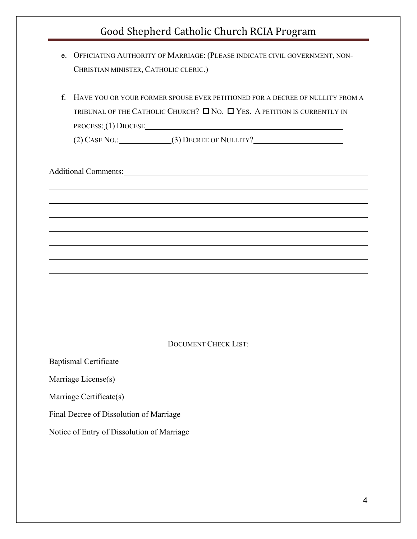- e. OFFICIATING AUTHORITY OF MARRIAGE: (PLEASE INDICATE CIVIL GOVERNMENT, NON-CHRISTIAN MINISTER, CATHOLIC CLERIC.)
- f. HAVE YOU OR YOUR FORMER SPOUSE EVER PETITIONED FOR A DECREE OF NULLITY FROM A TRIBUNAL OF THE CATHOLIC CHURCH?  $\Box$  No.  $\Box$  Yes. A petition is currently in PROCESS: (1) DIOCESE

(2) CASE NO.: (3) DECREE OF NULLITY?

Additional Comments:

 $\overline{a}$ 

 $\overline{a}$ 

 $\overline{a}$ 

#### DOCUMENT CHECK LIST:

Baptismal Certificate

Marriage License(s)

Marriage Certificate(s)

Final Decree of Dissolution of Marriage

Notice of Entry of Dissolution of Marriage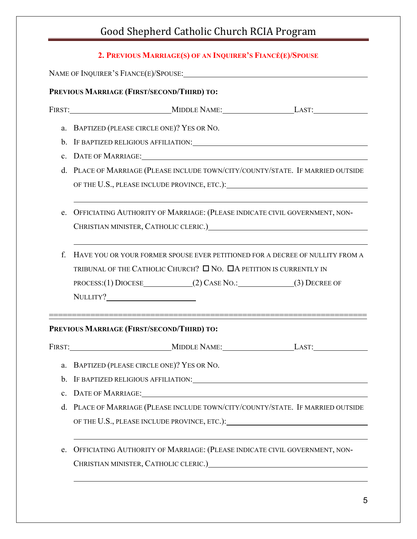|                                            | 2. PREVIOUS MARRIAGE(S) OF AN INQUIRER'S FIANCE(E)/SPOUSE                                                                                                                                                                                                                                                    |  |  |  |  |
|--------------------------------------------|--------------------------------------------------------------------------------------------------------------------------------------------------------------------------------------------------------------------------------------------------------------------------------------------------------------|--|--|--|--|
|                                            |                                                                                                                                                                                                                                                                                                              |  |  |  |  |
| PREVIOUS MARRIAGE (FIRST/SECOND/THIRD) TO: |                                                                                                                                                                                                                                                                                                              |  |  |  |  |
|                                            |                                                                                                                                                                                                                                                                                                              |  |  |  |  |
|                                            | a. BAPTIZED (PLEASE CIRCLE ONE)? YES OR NO.                                                                                                                                                                                                                                                                  |  |  |  |  |
|                                            |                                                                                                                                                                                                                                                                                                              |  |  |  |  |
| $\mathbf{c}$ .                             |                                                                                                                                                                                                                                                                                                              |  |  |  |  |
|                                            | d. PLACE OF MARRIAGE (PLEASE INCLUDE TOWN/CITY/COUNTY/STATE. IF MARRIED OUTSIDE                                                                                                                                                                                                                              |  |  |  |  |
| e.                                         | OFFICIATING AUTHORITY OF MARRIAGE: (PLEASE INDICATE CIVIL GOVERNMENT, NON-<br>CHRISTIAN MINISTER, CATHOLIC CLERIC.) CHERICAL CHARGE AND THE CHARGE AND THE CHARGE AND THE CHARGE AND THE CHARGE AND THE CHARGE AND THE CHARGE AND THE CHARGE AND THE CHARGE AND THE CHARGE AND THE CHARGE AND THE CHARGE AND |  |  |  |  |
| f.                                         | ,我们也不会有什么。""我们的人,我们也不会有什么?""我们的人,我们也不会有什么?""我们的人,我们也不会有什么?""我们的人,我们也不会有什么?""我们的人<br>HAVE YOU OR YOUR FORMER SPOUSE EVER PETITIONED FOR A DECREE OF NULLITY FROM A<br>TRIBUNAL OF THE CATHOLIC CHURCH? $\square$ NO. $\square$ A PETITION IS CURRENTLY IN<br>PROCESS:(1) DIOCESE (2) CASE NO.: (3) DECREE OF  |  |  |  |  |
|                                            | PREVIOUS MARRIAGE (FIRST/SECOND/THIRD) TO:                                                                                                                                                                                                                                                                   |  |  |  |  |
|                                            |                                                                                                                                                                                                                                                                                                              |  |  |  |  |
| a.                                         | BAPTIZED (PLEASE CIRCLE ONE)? YES OR NO.                                                                                                                                                                                                                                                                     |  |  |  |  |
| b.                                         | IF BAPTIZED RELIGIOUS AFFILIATION: UNIVERSITY OF BAPTIZED RELIGIOUS                                                                                                                                                                                                                                          |  |  |  |  |
| $\mathbf{c}$ .                             |                                                                                                                                                                                                                                                                                                              |  |  |  |  |
| d.                                         | PLACE OF MARRIAGE (PLEASE INCLUDE TOWN/CITY/COUNTY/STATE. IF MARRIED OUTSIDE                                                                                                                                                                                                                                 |  |  |  |  |
| e.                                         | OFFICIATING AUTHORITY OF MARRIAGE: (PLEASE INDICATE CIVIL GOVERNMENT, NON-<br>CHRISTIAN MINISTER, CATHOLIC CLERIC.) CHRISTIAN MINISTER, CATHOLIC CLERIC.                                                                                                                                                     |  |  |  |  |
|                                            |                                                                                                                                                                                                                                                                                                              |  |  |  |  |